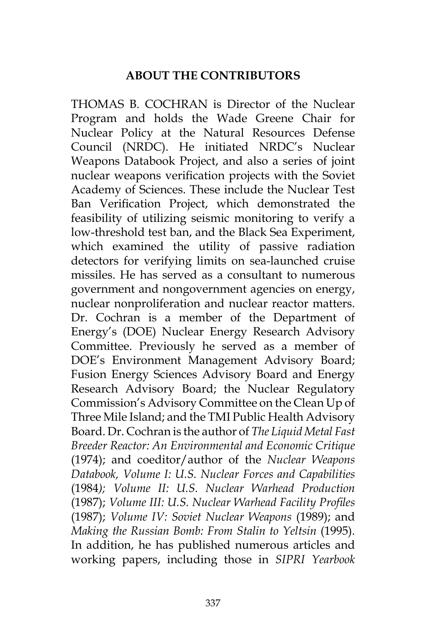## **ABOUT THE CONTRIBUTORS**

THOMAS B. COCHRAN is Director of the Nuclear Program and holds the Wade Greene Chair for Nuclear Policy at the Natural Resources Defense Council (NRDC). He initiated NRDC's Nuclear Weapons Databook Project, and also a series of joint nuclear weapons verification projects with the Soviet Academy of Sciences. These include the Nuclear Test Ban Verification Project, which demonstrated the feasibility of utilizing seismic monitoring to verify a low-threshold test ban, and the Black Sea Experiment, which examined the utility of passive radiation detectors for verifying limits on sea-launched cruise missiles. He has served as a consultant to numerous government and nongovernment agencies on energy, nuclear nonproliferation and nuclear reactor matters. Dr. Cochran is a member of the Department of Energy's (DOE) Nuclear Energy Research Advisory Committee. Previously he served as a member of DOE's Environment Management Advisory Board; Fusion Energy Sciences Advisory Board and Energy Research Advisory Board; the Nuclear Regulatory Commission's Advisory Committee on the Clean Up of Three Mile Island; and the TMI Public Health Advisory Board. Dr. Cochran is the author of *The Liquid Metal Fast Breeder Reactor: An Environmental and Economic Critique*  (1974); and coeditor/author of the *Nuclear Weapons Databook, Volume I: U.S. Nuclear Forces and Capabilities*  (1984*); Volume II: U.S. Nuclear Warhead Production*  (1987); *Volume III: U.S. Nuclear Warhead Facility Profiles*  (1987); *Volume IV: Soviet Nuclear Weapons* (1989); and *Making the Russian Bomb: From Stalin to Yeltsin* (1995). In addition, he has published numerous articles and working papers, including those in *SIPRI Yearbook*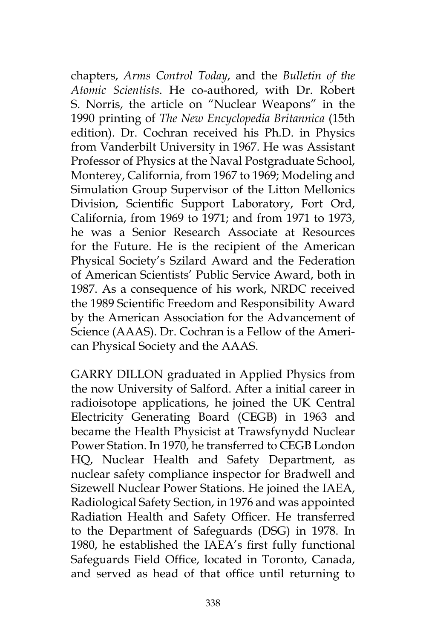chapters, *Arms Control Today*, and the *Bulletin of the Atomic Scientists*. He co-authored, with Dr. Robert S. Norris, the article on "Nuclear Weapons" in the 1990 printing of *The New Encyclopedia Britannica* (15th edition). Dr. Cochran received his Ph.D. in Physics from Vanderbilt University in 1967. He was Assistant Professor of Physics at the Naval Postgraduate School, Monterey, California, from 1967 to 1969; Modeling and Simulation Group Supervisor of the Litton Mellonics Division, Scientific Support Laboratory, Fort Ord, California, from 1969 to 1971; and from 1971 to 1973, he was a Senior Research Associate at Resources for the Future. He is the recipient of the American Physical Society's Szilard Award and the Federation of American Scientists' Public Service Award, both in 1987. As a consequence of his work, NRDC received the 1989 Scientific Freedom and Responsibility Award by the American Association for the Advancement of Science (AAAS). Dr. Cochran is a Fellow of the American Physical Society and the AAAS.

GARRY DILLON graduated in Applied Physics from the now University of Salford. After a initial career in radioisotope applications, he joined the UK Central Electricity Generating Board (CEGB) in 1963 and became the Health Physicist at Trawsfynydd Nuclear Power Station. In 1970, he transferred to CEGB London HQ, Nuclear Health and Safety Department, as nuclear safety compliance inspector for Bradwell and Sizewell Nuclear Power Stations. He joined the IAEA, Radiological Safety Section, in 1976 and was appointed Radiation Health and Safety Officer. He transferred to the Department of Safeguards (DSG) in 1978. In 1980, he established the IAEA's first fully functional Safeguards Field Office, located in Toronto, Canada, and served as head of that office until returning to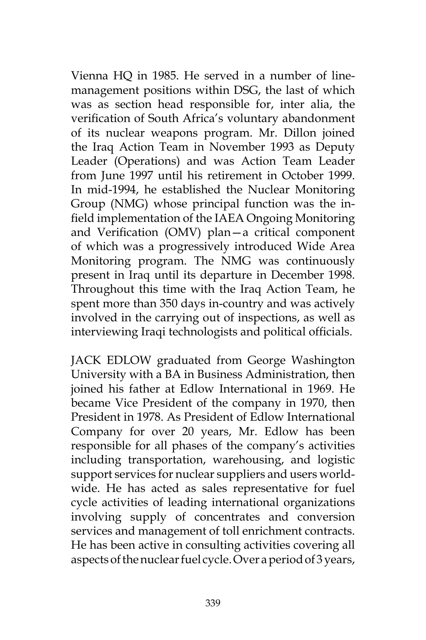Vienna HQ in 1985. He served in a number of linemanagement positions within DSG, the last of which was as section head responsible for, inter alia, the verification of South Africa's voluntary abandonment of its nuclear weapons program. Mr. Dillon joined the Iraq Action Team in November 1993 as Deputy Leader (Operations) and was Action Team Leader from June 1997 until his retirement in October 1999. In mid-1994, he established the Nuclear Monitoring Group (NMG) whose principal function was the infield implementation of the IAEA Ongoing Monitoring and Verification (OMV) plan—a critical component of which was a progressively introduced Wide Area Monitoring program. The NMG was continuously present in Iraq until its departure in December 1998. Throughout this time with the Iraq Action Team, he spent more than 350 days in-country and was actively involved in the carrying out of inspections, as well as interviewing Iraqi technologists and political officials.

JACK EDLOW graduated from George Washington University with a BA in Business Administration, then joined his father at Edlow International in 1969. He became Vice President of the company in 1970, then President in 1978. As President of Edlow International Company for over 20 years, Mr. Edlow has been responsible for all phases of the company's activities including transportation, warehousing, and logistic support services for nuclear suppliers and users worldwide. He has acted as sales representative for fuel cycle activities of leading international organizations involving supply of concentrates and conversion services and management of toll enrichment contracts. He has been active in consulting activities covering all aspects of the nuclear fuel cycle. Over a period of 3 years,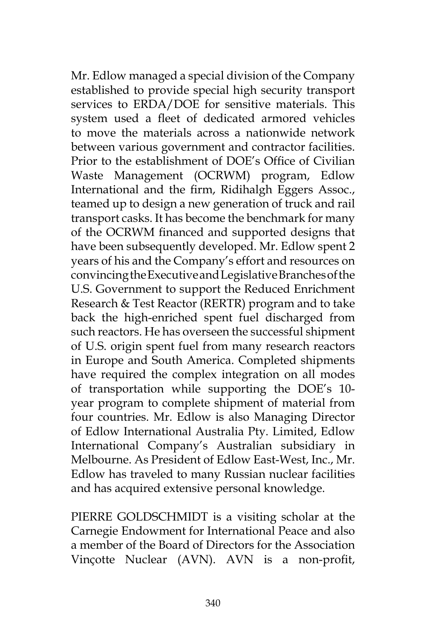Mr. Edlow managed a special division of the Company established to provide special high security transport services to ERDA/DOE for sensitive materials. This system used a fleet of dedicated armored vehicles to move the materials across a nationwide network between various government and contractor facilities. Prior to the establishment of DOE's Office of Civilian Waste Management (OCRWM) program, Edlow International and the firm, Ridihalgh Eggers Assoc., teamed up to design a new generation of truck and rail transport casks. It has become the benchmark for many of the OCRWM financed and supported designs that have been subsequently developed. Mr. Edlow spent 2 years of his and the Company's effort and resources on convincing the Executive and Legislative Branches of the U.S. Government to support the Reduced Enrichment Research & Test Reactor (RERTR) program and to take back the high-enriched spent fuel discharged from such reactors. He has overseen the successful shipment of U.S. origin spent fuel from many research reactors in Europe and South America. Completed shipments have required the complex integration on all modes of transportation while supporting the DOE's 10 year program to complete shipment of material from four countries. Mr. Edlow is also Managing Director of Edlow International Australia Pty. Limited, Edlow International Company's Australian subsidiary in Melbourne. As President of Edlow East-West, Inc., Mr. Edlow has traveled to many Russian nuclear facilities and has acquired extensive personal knowledge.

PIERRE GOLDSCHMIDT is a visiting scholar at the Carnegie Endowment for International Peace and also a member of the Board of Directors for the Association Vinçotte Nuclear (AVN). AVN is a non-profit,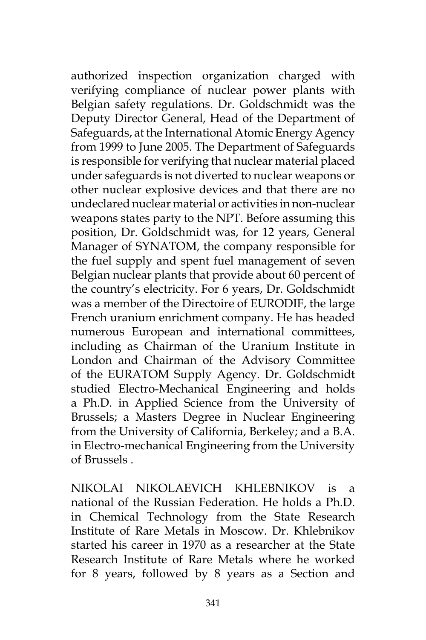authorized inspection organization charged with verifying compliance of nuclear power plants with Belgian safety regulations. Dr. Goldschmidt was the Deputy Director General, Head of the Department of Safeguards, at the International Atomic Energy Agency from 1999 to June 2005. The Department of Safeguards is responsible for verifying that nuclear material placed under safeguards is not diverted to nuclear weapons or other nuclear explosive devices and that there are no undeclared nuclear material or activities in non-nuclear weapons states party to the NPT. Before assuming this position, Dr. Goldschmidt was, for 12 years, General Manager of SYNATOM, the company responsible for the fuel supply and spent fuel management of seven Belgian nuclear plants that provide about 60 percent of the country's electricity. For 6 years, Dr. Goldschmidt was a member of the Directoire of EURODIF, the large French uranium enrichment company. He has headed numerous European and international committees, including as Chairman of the Uranium Institute in London and Chairman of the Advisory Committee of the EURATOM Supply Agency. Dr. Goldschmidt studied Electro-Mechanical Engineering and holds a Ph.D. in Applied Science from the University of Brussels; a Masters Degree in Nuclear Engineering from the University of California, Berkeley; and a B.A. in Electro-mechanical Engineering from the University of Brussels .

NIKOLAI NIKOLAEVICH KHLEBNIKOV is a national of the Russian Federation. He holds a Ph.D. in Chemical Technology from the State Research Institute of Rare Metals in Moscow. Dr. Khlebnikov started his career in 1970 as a researcher at the State Research Institute of Rare Metals where he worked for 8 years, followed by 8 years as a Section and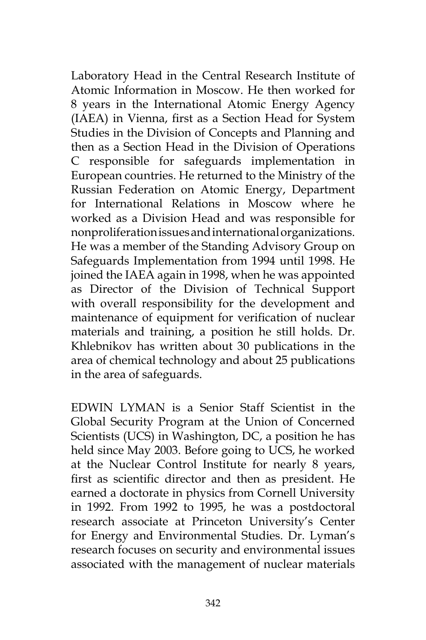Laboratory Head in the Central Research Institute of Atomic Information in Moscow. He then worked for 8 years in the International Atomic Energy Agency (IAEA) in Vienna, first as a Section Head for System Studies in the Division of Concepts and Planning and then as a Section Head in the Division of Operations C responsible for safeguards implementation in European countries. He returned to the Ministry of the Russian Federation on Atomic Energy, Department for International Relations in Moscow where he worked as a Division Head and was responsible for nonproliferation issues and international organizations. He was a member of the Standing Advisory Group on Safeguards Implementation from 1994 until 1998. He joined the IAEA again in 1998, when he was appointed as Director of the Division of Technical Support with overall responsibility for the development and maintenance of equipment for verification of nuclear materials and training, a position he still holds. Dr. Khlebnikov has written about 30 publications in the area of chemical technology and about 25 publications in the area of safeguards.

EDWIN LYMAN is a Senior Staff Scientist in the Global Security Program at the Union of Concerned Scientists (UCS) in Washington, DC, a position he has held since May 2003. Before going to UCS, he worked at the Nuclear Control Institute for nearly 8 years, first as scientific director and then as president. He earned a doctorate in physics from Cornell University in 1992. From 1992 to 1995, he was a postdoctoral research associate at Princeton University's Center for Energy and Environmental Studies. Dr. Lyman's research focuses on security and environmental issues associated with the management of nuclear materials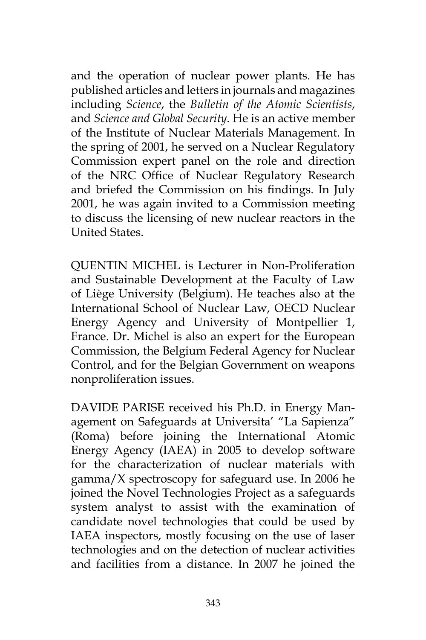and the operation of nuclear power plants. He has published articles and letters in journals and magazines including *Science*, the *Bulletin of the Atomic Scientists*, and *Science and Global Security*. He is an active member of the Institute of Nuclear Materials Management. In the spring of 2001, he served on a Nuclear Regulatory Commission expert panel on the role and direction of the NRC Office of Nuclear Regulatory Research and briefed the Commission on his findings. In July 2001, he was again invited to a Commission meeting to discuss the licensing of new nuclear reactors in the United States.

QUENTIN MICHEL is Lecturer in Non-Proliferation and Sustainable Development at the Faculty of Law of Liège University (Belgium). He teaches also at the International School of Nuclear Law, OECD Nuclear Energy Agency and University of Montpellier 1, France. Dr. Michel is also an expert for the European Commission, the Belgium Federal Agency for Nuclear Control, and for the Belgian Government on weapons nonproliferation issues.

DAVIDE PARISE received his Ph.D. in Energy Management on Safeguards at Universita' "La Sapienza" (Roma) before joining the International Atomic Energy Agency (IAEA) in 2005 to develop software for the characterization of nuclear materials with gamma/X spectroscopy for safeguard use. In 2006 he joined the Novel Technologies Project as a safeguards system analyst to assist with the examination of candidate novel technologies that could be used by IAEA inspectors, mostly focusing on the use of laser technologies and on the detection of nuclear activities and facilities from a distance. In 2007 he joined the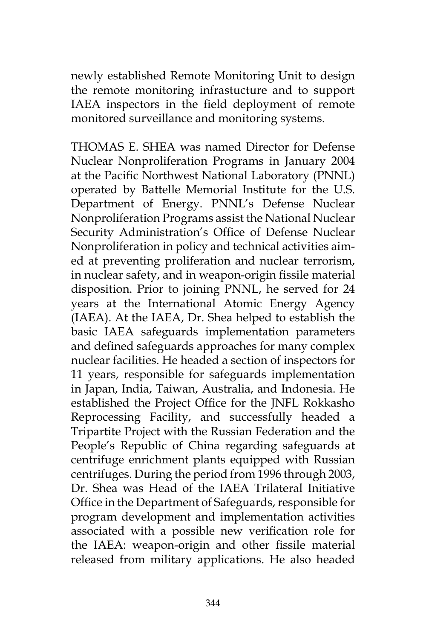newly established Remote Monitoring Unit to design the remote monitoring infrastucture and to support IAEA inspectors in the field deployment of remote monitored surveillance and monitoring systems.

THOMAS E. SHEA was named Director for Defense Nuclear Nonproliferation Programs in January 2004 at the Pacific Northwest National Laboratory (PNNL) operated by Battelle Memorial Institute for the U.S. Department of Energy. PNNL's Defense Nuclear Nonproliferation Programs assist the National Nuclear Security Administration's Office of Defense Nuclear Nonproliferation in policy and technical activities aimed at preventing proliferation and nuclear terrorism, in nuclear safety, and in weapon-origin fissile material disposition. Prior to joining PNNL, he served for 24 years at the International Atomic Energy Agency (IAEA). At the IAEA, Dr. Shea helped to establish the basic IAEA safeguards implementation parameters and defined safeguards approaches for many complex nuclear facilities. He headed a section of inspectors for 11 years, responsible for safeguards implementation in Japan, India, Taiwan, Australia, and Indonesia. He established the Project Office for the JNFL Rokkasho Reprocessing Facility, and successfully headed a Tripartite Project with the Russian Federation and the People's Republic of China regarding safeguards at centrifuge enrichment plants equipped with Russian centrifuges. During the period from 1996 through 2003, Dr. Shea was Head of the IAEA Trilateral Initiative Office in the Department of Safeguards, responsible for program development and implementation activities associated with a possible new verification role for the IAEA: weapon-origin and other fissile material released from military applications. He also headed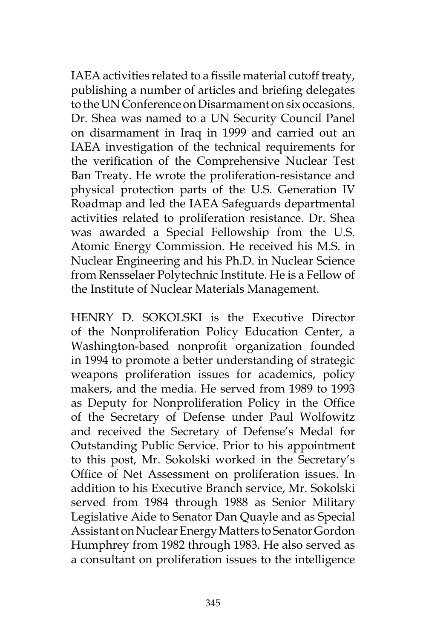IAEA activities related to a fissile material cutoff treaty, publishing a number of articles and briefing delegates to the UN Conference on Disarmament on six occasions. Dr. Shea was named to a UN Security Council Panel on disarmament in Iraq in 1999 and carried out an IAEA investigation of the technical requirements for the verification of the Comprehensive Nuclear Test Ban Treaty. He wrote the proliferation-resistance and physical protection parts of the U.S. Generation IV Roadmap and led the IAEA Safeguards departmental activities related to proliferation resistance. Dr. Shea was awarded a Special Fellowship from the U.S. Atomic Energy Commission. He received his M.S. in Nuclear Engineering and his Ph.D. in Nuclear Science from Rensselaer Polytechnic Institute. He is a Fellow of the Institute of Nuclear Materials Management.

HENRY D. SOKOLSKI is the Executive Director of the Nonproliferation Policy Education Center, a Washington-based nonprofit organization founded in 1994 to promote a better understanding of strategic weapons proliferation issues for academics, policy makers, and the media. He served from 1989 to 1993 as Deputy for Nonproliferation Policy in the Office of the Secretary of Defense under Paul Wolfowitz and received the Secretary of Defense's Medal for Outstanding Public Service. Prior to his appointment to this post, Mr. Sokolski worked in the Secretary's Office of Net Assessment on proliferation issues. In addition to his Executive Branch service, Mr. Sokolski served from 1984 through 1988 as Senior Military Legislative Aide to Senator Dan Quayle and as Special Assistant on Nuclear Energy Matters to Senator Gordon Humphrey from 1982 through 1983. He also served as a consultant on proliferation issues to the intelligence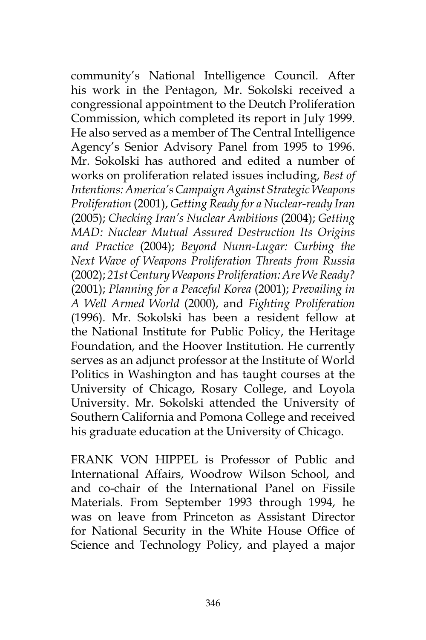community's National Intelligence Council. After his work in the Pentagon, Mr. Sokolski received a congressional appointment to the Deutch Proliferation Commission, which completed its report in July 1999. He also served as a member of The Central Intelligence Agency's Senior Advisory Panel from 1995 to 1996. Mr. Sokolski has authored and edited a number of works on proliferation related issues including, *Best of Intentions: America's Campaign Against Strategic Weapons Proliferation* (2001), *Getting Ready for a Nuclear-ready Iran*  (2005); *Checking Iran's Nuclear Ambitions* (2004); *Getting MAD: Nuclear Mutual Assured Destruction Its Origins and Practice* (2004); *Beyond Nunn-Lugar: Curbing the Next Wave of Weapons Proliferation Threats from Russia* (2002); *21st Century Weapons Proliferation: Are We Ready?* (2001); *Planning for a Peaceful Korea* (2001); *Prevailing in A Well Armed World* (2000), and *Fighting Proliferation* (1996). Mr. Sokolski has been a resident fellow at the National Institute for Public Policy, the Heritage Foundation, and the Hoover Institution. He currently serves as an adjunct professor at the Institute of World Politics in Washington and has taught courses at the University of Chicago, Rosary College, and Loyola University. Mr. Sokolski attended the University of Southern California and Pomona College and received his graduate education at the University of Chicago.

FRANK VON HIPPEL is Professor of Public and International Affairs, Woodrow Wilson School, and and co-chair of the International Panel on Fissile Materials. From September 1993 through 1994, he was on leave from Princeton as Assistant Director for National Security in the White House Office of Science and Technology Policy, and played a major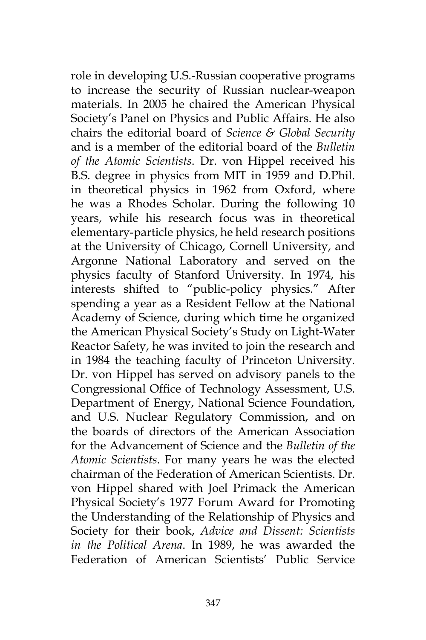role in developing U.S.-Russian cooperative programs to increase the security of Russian nuclear-weapon materials. In 2005 he chaired the American Physical Society's Panel on Physics and Public Affairs. He also chairs the editorial board of *Science & Global Security*  and is a member of the editorial board of the *Bulletin of the Atomic Scientists*. Dr. von Hippel received his B.S. degree in physics from MIT in 1959 and D.Phil. in theoretical physics in 1962 from Oxford, where he was a Rhodes Scholar. During the following 10 years, while his research focus was in theoretical elementary-particle physics, he held research positions at the University of Chicago, Cornell University, and Argonne National Laboratory and served on the physics faculty of Stanford University. In 1974, his interests shifted to "public-policy physics." After spending a year as a Resident Fellow at the National Academy of Science, during which time he organized the American Physical Society's Study on Light-Water Reactor Safety, he was invited to join the research and in 1984 the teaching faculty of Princeton University. Dr. von Hippel has served on advisory panels to the Congressional Office of Technology Assessment, U.S. Department of Energy, National Science Foundation, and U.S. Nuclear Regulatory Commission, and on the boards of directors of the American Association for the Advancement of Science and the *Bulletin of the Atomic Scientists*. For many years he was the elected chairman of the Federation of American Scientists. Dr. von Hippel shared with Joel Primack the American Physical Society's 1977 Forum Award for Promoting the Understanding of the Relationship of Physics and Society for their book, *Advice and Dissent: Scientists in the Political Arena*. In 1989, he was awarded the Federation of American Scientists' Public Service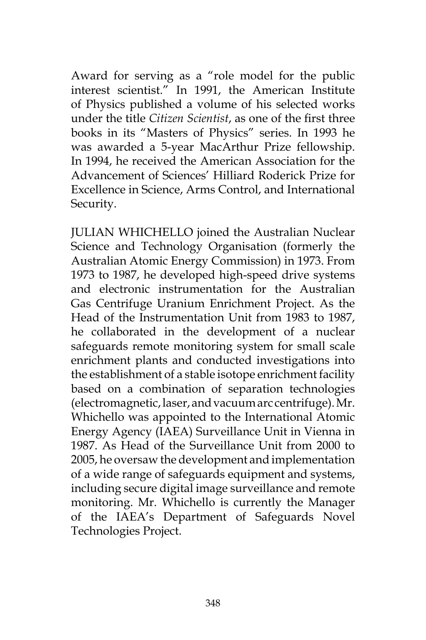Award for serving as a "role model for the public interest scientist." In 1991, the American Institute of Physics published a volume of his selected works under the title *Citizen Scientist*, as one of the first three books in its "Masters of Physics" series. In 1993 he was awarded a 5-year MacArthur Prize fellowship. In 1994, he received the American Association for the Advancement of Sciences' Hilliard Roderick Prize for Excellence in Science, Arms Control, and International Security.

JULIAN WHICHELLO joined the Australian Nuclear Science and Technology Organisation (formerly the Australian Atomic Energy Commission) in 1973. From 1973 to 1987, he developed high-speed drive systems and electronic instrumentation for the Australian Gas Centrifuge Uranium Enrichment Project. As the Head of the Instrumentation Unit from 1983 to 1987, he collaborated in the development of a nuclear safeguards remote monitoring system for small scale enrichment plants and conducted investigations into the establishment of a stable isotope enrichment facility based on a combination of separation technologies (electromagnetic, laser, and vacuum arc centrifuge). Mr. Whichello was appointed to the International Atomic Energy Agency (IAEA) Surveillance Unit in Vienna in 1987. As Head of the Surveillance Unit from 2000 to 2005, he oversaw the development and implementation of a wide range of safeguards equipment and systems, including secure digital image surveillance and remote monitoring. Mr. Whichello is currently the Manager of the IAEA's Department of Safeguards Novel Technologies Project.